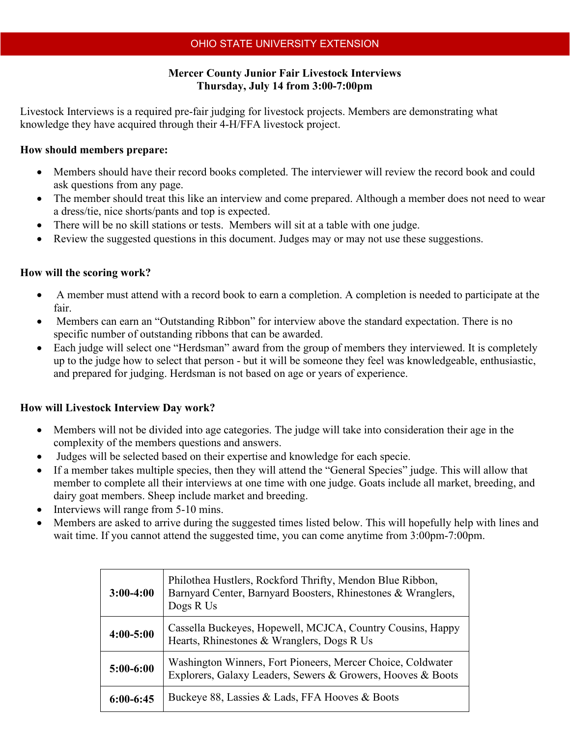# **Mercer County Junior Fair Livestock Interviews Thursday, July 14 from 3:00-7:00pm**

Livestock Interviews is a required pre-fair judging for livestock projects. Members are demonstrating what knowledge they have acquired through their 4-H/FFA livestock project.

#### **How should members prepare:**

- Members should have their record books completed. The interviewer will review the record book and could ask questions from any page.
- The member should treat this like an interview and come prepared. Although a member does not need to wear a dress/tie, nice shorts/pants and top is expected.
- There will be no skill stations or tests. Members will sit at a table with one judge.
- Review the suggested questions in this document. Judges may or may not use these suggestions.

#### **How will the scoring work?**

- A member must attend with a record book to earn a completion. A completion is needed to participate at the fair.
- Members can earn an "Outstanding Ribbon" for interview above the standard expectation. There is no specific number of outstanding ribbons that can be awarded.
- Each judge will select one "Herdsman" award from the group of members they interviewed. It is completely up to the judge how to select that person - but it will be someone they feel was knowledgeable, enthusiastic, and prepared for judging. Herdsman is not based on age or years of experience.

# **How will Livestock Interview Day work?**

- Members will not be divided into age categories. The judge will take into consideration their age in the complexity of the members questions and answers.
- Judges will be selected based on their expertise and knowledge for each specie.
- If a member takes multiple species, then they will attend the "General Species" judge. This will allow that member to complete all their interviews at one time with one judge. Goats include all market, breeding, and dairy goat members. Sheep include market and breeding.
- Interviews will range from 5-10 mins.
- Members are asked to arrive during the suggested times listed below. This will hopefully help with lines and wait time. If you cannot attend the suggested time, you can come anytime from 3:00pm-7:00pm.

| $3:00-4:00$   | Philothea Hustlers, Rockford Thrifty, Mendon Blue Ribbon,<br>Barnyard Center, Barnyard Boosters, Rhinestones & Wranglers,<br>Dogs R Us |
|---------------|----------------------------------------------------------------------------------------------------------------------------------------|
| $4:00 - 5:00$ | Cassella Buckeyes, Hopewell, MCJCA, Country Cousins, Happy<br>Hearts, Rhinestones & Wranglers, Dogs R Us                               |
| $5:00-6:00$   | Washington Winners, Fort Pioneers, Mercer Choice, Coldwater<br>Explorers, Galaxy Leaders, Sewers & Growers, Hooves & Boots             |
| $6:00-6:45$   | Buckeye 88, Lassies & Lads, FFA Hooves & Boots                                                                                         |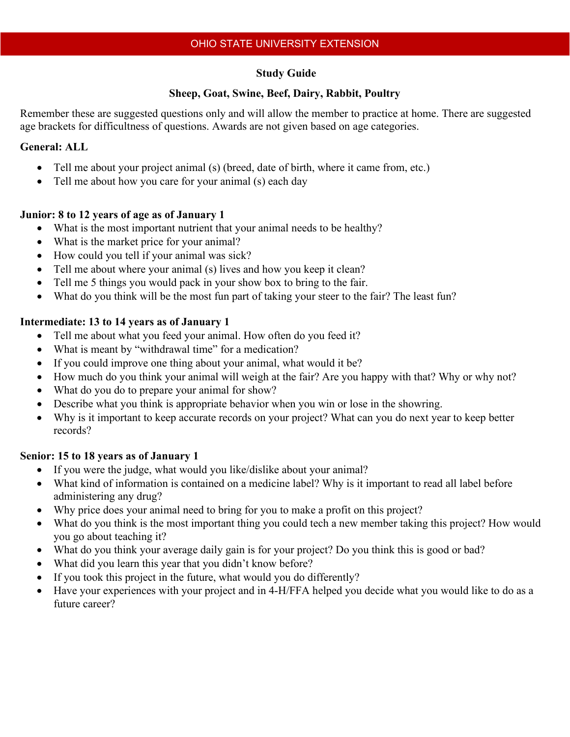### **Study Guide**

#### **Sheep, Goat, Swine, Beef, Dairy, Rabbit, Poultry**

Remember these are suggested questions only and will allow the member to practice at home. There are suggested age brackets for difficultness of questions. Awards are not given based on age categories.

#### **General: ALL**

- Tell me about your project animal (s) (breed, date of birth, where it came from, etc.)
- Tell me about how you care for your animal (s) each day

# **Junior: 8 to 12 years of age as of January 1**

- What is the most important nutrient that your animal needs to be healthy?
- What is the market price for your animal?
- How could you tell if your animal was sick?
- Tell me about where your animal (s) lives and how you keep it clean?
- Tell me 5 things you would pack in your show box to bring to the fair.
- What do you think will be the most fun part of taking your steer to the fair? The least fun?

# **Intermediate: 13 to 14 years as of January 1**

- Tell me about what you feed your animal. How often do you feed it?
- What is meant by "withdrawal time" for a medication?
- If you could improve one thing about your animal, what would it be?
- How much do you think your animal will weigh at the fair? Are you happy with that? Why or why not?
- What do you do to prepare your animal for show?
- Describe what you think is appropriate behavior when you win or lose in the showring.
- Why is it important to keep accurate records on your project? What can you do next year to keep better records?

# **Senior: 15 to 18 years as of January 1**

- If you were the judge, what would you like/dislike about your animal?
- What kind of information is contained on a medicine label? Why is it important to read all label before administering any drug?
- Why price does your animal need to bring for you to make a profit on this project?
- What do you think is the most important thing you could tech a new member taking this project? How would you go about teaching it?
- What do you think your average daily gain is for your project? Do you think this is good or bad?
- What did you learn this year that you didn't know before?
- If you took this project in the future, what would you do differently?
- Have your experiences with your project and in 4-H/FFA helped you decide what you would like to do as a future career?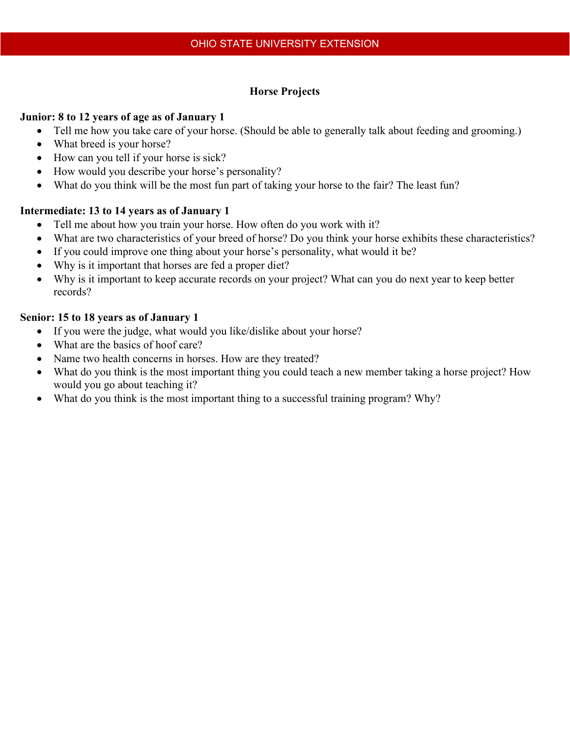# **Horse Projects**

### **Junior: 8 to 12 years of age as of January 1**

- Tell me how you take care of your horse. (Should be able to generally talk about feeding and grooming.)
- What breed is your horse?
- How can you tell if your horse is sick?
- How would you describe your horse's personality?
- What do you think will be the most fun part of taking your horse to the fair? The least fun?

# **Intermediate: 13 to 14 years as of January 1**

- Tell me about how you train your horse. How often do you work with it?
- What are two characteristics of your breed of horse? Do you think your horse exhibits these characteristics?
- If you could improve one thing about your horse's personality, what would it be?
- Why is it important that horses are fed a proper diet?
- Why is it important to keep accurate records on your project? What can you do next year to keep better records?

# **Senior: 15 to 18 years as of January 1**

- If you were the judge, what would you like/dislike about your horse?
- What are the basics of hoof care?
- Name two health concerns in horses. How are they treated?
- What do you think is the most important thing you could teach a new member taking a horse project? How would you go about teaching it?
- What do you think is the most important thing to a successful training program? Why?